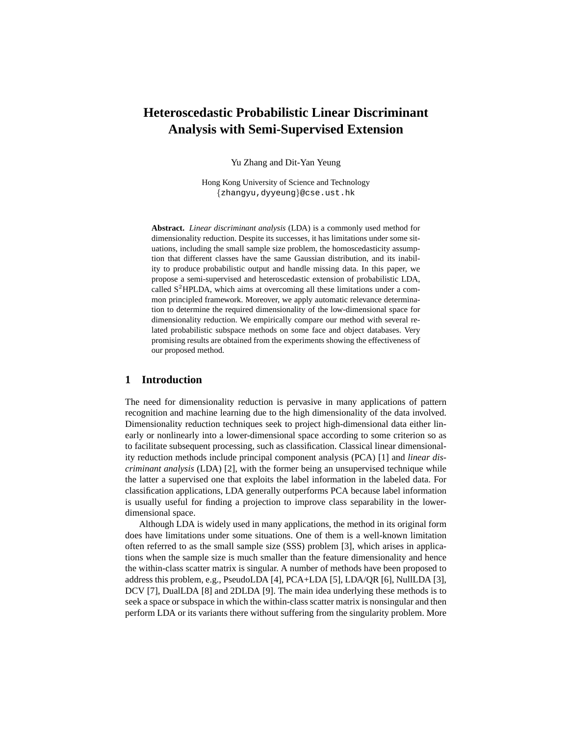# **Heteroscedastic Probabilistic Linear Discriminant Analysis with Semi-Supervised Extension**

Yu Zhang and Dit-Yan Yeung

Hong Kong University of Science and Technology {zhangyu,dyyeung}@cse.ust.hk

**Abstract.** *Linear discriminant analysis* (LDA) is a commonly used method for dimensionality reduction. Despite its successes, it has limitations under some situations, including the small sample size problem, the homoscedasticity assumption that different classes have the same Gaussian distribution, and its inability to produce probabilistic output and handle missing data. In this paper, we propose a semi-supervised and heteroscedastic extension of probabilistic LDA, called  $S^2$ HPLDA, which aims at overcoming all these limitations under a common principled framework. Moreover, we apply automatic relevance determination to determine the required dimensionality of the low-dimensional space for dimensionality reduction. We empirically compare our method with several related probabilistic subspace methods on some face and object databases. Very promising results are obtained from the experiments showing the effectiveness of our proposed method.

### **1 Introduction**

The need for dimensionality reduction is pervasive in many applications of pattern recognition and machine learning due to the high dimensionality of the data involved. Dimensionality reduction techniques seek to project high-dimensional data either linearly or nonlinearly into a lower-dimensional space according to some criterion so as to facilitate subsequent processing, such as classification. Classical linear dimensionality reduction methods include principal component analysis (PCA) [1] and *linear discriminant analysis* (LDA) [2], with the former being an unsupervised technique while the latter a supervised one that exploits the label information in the labeled data. For classification applications, LDA generally outperforms PCA because label information is usually useful for finding a projection to improve class separability in the lowerdimensional space.

Although LDA is widely used in many applications, the method in its original form does have limitations under some situations. One of them is a well-known limitation often referred to as the small sample size (SSS) problem [3], which arises in applications when the sample size is much smaller than the feature dimensionality and hence the within-class scatter matrix is singular. A number of methods have been proposed to address this problem, e.g., PseudoLDA [4], PCA+LDA [5], LDA/QR [6], NullLDA [3], DCV [7], DualLDA [8] and 2DLDA [9]. The main idea underlying these methods is to seek a space or subspace in which the within-class scatter matrix is nonsingular and then perform LDA or its variants there without suffering from the singularity problem. More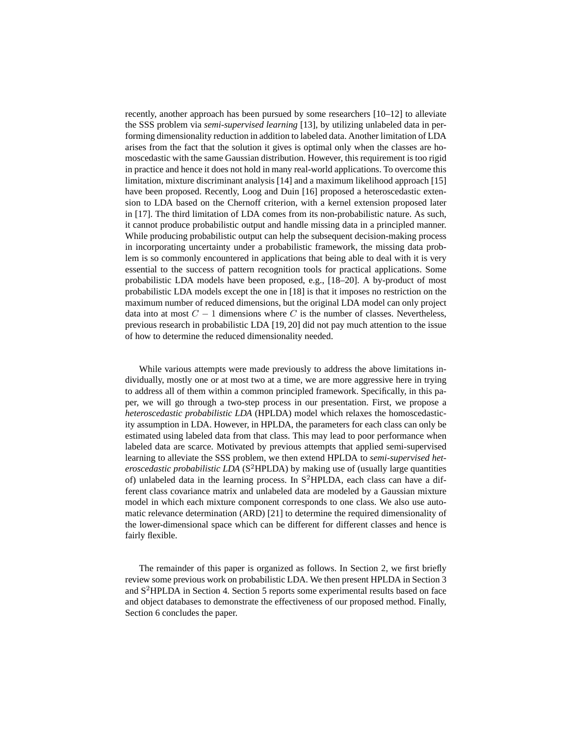recently, another approach has been pursued by some researchers [10–12] to alleviate the SSS problem via *semi-supervised learning* [13], by utilizing unlabeled data in performing dimensionality reduction in addition to labeled data. Another limitation of LDA arises from the fact that the solution it gives is optimal only when the classes are homoscedastic with the same Gaussian distribution. However, this requirement is too rigid in practice and hence it does not hold in many real-world applications. To overcome this limitation, mixture discriminant analysis [14] and a maximum likelihood approach [15] have been proposed. Recently, Loog and Duin [16] proposed a heteroscedastic extension to LDA based on the Chernoff criterion, with a kernel extension proposed later in [17]. The third limitation of LDA comes from its non-probabilistic nature. As such, it cannot produce probabilistic output and handle missing data in a principled manner. While producing probabilistic output can help the subsequent decision-making process in incorporating uncertainty under a probabilistic framework, the missing data problem is so commonly encountered in applications that being able to deal with it is very essential to the success of pattern recognition tools for practical applications. Some probabilistic LDA models have been proposed, e.g., [18–20]. A by-product of most probabilistic LDA models except the one in [18] is that it imposes no restriction on the maximum number of reduced dimensions, but the original LDA model can only project data into at most  $C - 1$  dimensions where C is the number of classes. Nevertheless, previous research in probabilistic LDA [19, 20] did not pay much attention to the issue of how to determine the reduced dimensionality needed.

While various attempts were made previously to address the above limitations individually, mostly one or at most two at a time, we are more aggressive here in trying to address all of them within a common principled framework. Specifically, in this paper, we will go through a two-step process in our presentation. First, we propose a *heteroscedastic probabilistic LDA* (HPLDA) model which relaxes the homoscedasticity assumption in LDA. However, in HPLDA, the parameters for each class can only be estimated using labeled data from that class. This may lead to poor performance when labeled data are scarce. Motivated by previous attempts that applied semi-supervised learning to alleviate the SSS problem, we then extend HPLDA to *semi-supervised heteroscedastic probabilistic LDA* ( $S^2$ HPLDA) by making use of (usually large quantities of) unlabeled data in the learning process. In  $S^2$ HPLDA, each class can have a different class covariance matrix and unlabeled data are modeled by a Gaussian mixture model in which each mixture component corresponds to one class. We also use automatic relevance determination (ARD) [21] to determine the required dimensionality of the lower-dimensional space which can be different for different classes and hence is fairly flexible.

The remainder of this paper is organized as follows. In Section 2, we first briefly review some previous work on probabilistic LDA. We then present HPLDA in Section 3 and S<sup>2</sup>HPLDA in Section 4. Section 5 reports some experimental results based on face and object databases to demonstrate the effectiveness of our proposed method. Finally, Section 6 concludes the paper.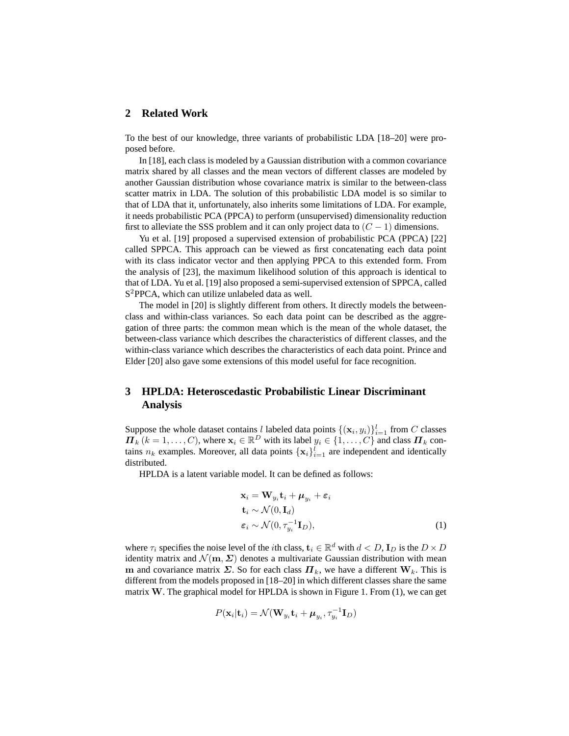# **2 Related Work**

To the best of our knowledge, three variants of probabilistic LDA [18–20] were proposed before.

In [18], each class is modeled by a Gaussian distribution with a common covariance matrix shared by all classes and the mean vectors of different classes are modeled by another Gaussian distribution whose covariance matrix is similar to the between-class scatter matrix in LDA. The solution of this probabilistic LDA model is so similar to that of LDA that it, unfortunately, also inherits some limitations of LDA. For example, it needs probabilistic PCA (PPCA) to perform (unsupervised) dimensionality reduction first to alleviate the SSS problem and it can only project data to  $(C - 1)$  dimensions.

Yu et al. [19] proposed a supervised extension of probabilistic PCA (PPCA) [22] called SPPCA. This approach can be viewed as first concatenating each data point with its class indicator vector and then applying PPCA to this extended form. From the analysis of [23], the maximum likelihood solution of this approach is identical to that of LDA. Yu et al. [19] also proposed a semi-supervised extension of SPPCA, called S<sup>2</sup>PPCA, which can utilize unlabeled data as well.

The model in [20] is slightly different from others. It directly models the betweenclass and within-class variances. So each data point can be described as the aggregation of three parts: the common mean which is the mean of the whole dataset, the between-class variance which describes the characteristics of different classes, and the within-class variance which describes the characteristics of each data point. Prince and Elder [20] also gave some extensions of this model useful for face recognition.

# **3 HPLDA: Heteroscedastic Probabilistic Linear Discriminant Analysis**

Suppose the whole dataset contains l labeled data points  $\{(\mathbf{x}_i, y_i)\}_{i=1}^l$  from C classes  $\overline{H}_k$   $(k = 1, ..., C)$ , where  $\mathbf{x}_i \in \mathbb{R}^D$  with its label  $y_i \in \{1, ..., C\}$  and class  $\overline{H}_k$  contains  $n_k$  examples. Moreover, all data points  $\{x_i\}_{i=1}^l$  are independent and identically distributed.

HPLDA is a latent variable model. It can be defined as follows:

$$
\mathbf{x}_{i} = \mathbf{W}_{y_{i}} \mathbf{t}_{i} + \boldsymbol{\mu}_{y_{i}} + \boldsymbol{\varepsilon}_{i}
$$
  
\n
$$
\mathbf{t}_{i} \sim \mathcal{N}(0, \mathbf{I}_{d})
$$
  
\n
$$
\boldsymbol{\varepsilon}_{i} \sim \mathcal{N}(0, \tau_{y_{i}}^{-1} \mathbf{I}_{D}),
$$
\n(1)

where  $\tau_i$  specifies the noise level of the *i*th class,  $\mathbf{t}_i \in \mathbb{R}^d$  with  $d < D$ ,  $\mathbf{I}_D$  is the  $D \times D$ identity matrix and  $\mathcal{N}(\mathbf{m}, \Sigma)$  denotes a multivariate Gaussian distribution with mean m and covariance matrix  $\Sigma$ . So for each class  $\Pi_k$ , we have a different  $W_k$ . This is different from the models proposed in [18–20] in which different classes share the same matrix W. The graphical model for HPLDA is shown in Figure 1. From (1), we can get

$$
P(\mathbf{x}_i|\mathbf{t}_i) = \mathcal{N}(\mathbf{W}_{y_i}\mathbf{t}_i + \boldsymbol{\mu}_{y_i}, \tau_{y_i}^{-1}\mathbf{I}_D)
$$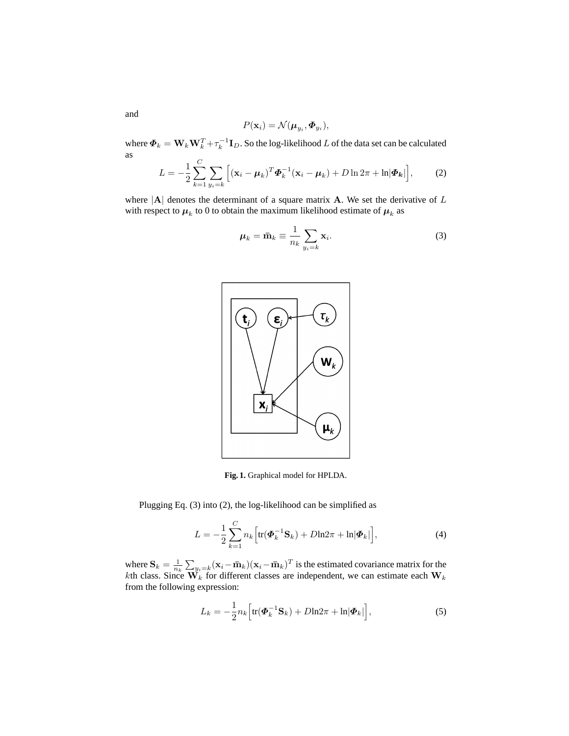$$
P(\mathbf{x}_i) = \mathcal{N}(\boldsymbol{\mu}_{y_i}, \boldsymbol{\Phi}_{y_i}),
$$

where  $\bm{\Phi}_k = \mathbf{W}_k \mathbf{W}_k^T + \tau_k^{-1} \mathbf{I}_D$ . So the log-likelihood  $L$  of the data set can be calculated as

$$
L = -\frac{1}{2} \sum_{k=1}^{C} \sum_{y_i=k} \left[ (\mathbf{x}_i - \boldsymbol{\mu}_k)^T \boldsymbol{\Phi}_k^{-1} (\mathbf{x}_i - \boldsymbol{\mu}_k) + D \ln 2\pi + \ln |\boldsymbol{\Phi}_k| \right], \tag{2}
$$

where  $|A|$  denotes the determinant of a square matrix A. We set the derivative of  $L$ with respect to  $\boldsymbol{\mu}_k$  to 0 to obtain the maximum likelihood estimate of  $\boldsymbol{\mu}_k$  as

$$
\mu_k = \bar{m}_k \equiv \frac{1}{n_k} \sum_{y_i = k} x_i.
$$
\n(3)



**Fig. 1.** Graphical model for HPLDA.

Plugging Eq. (3) into (2), the log-likelihood can be simplified as

$$
L = -\frac{1}{2} \sum_{k=1}^{C} n_k \left[ \text{tr}(\boldsymbol{\Phi}_k^{-1} \mathbf{S}_k) + D \text{ln} 2\pi + \text{ln} |\boldsymbol{\Phi}_k| \right],\tag{4}
$$

where  $S_k = \frac{1}{n_k} \sum_{y_i=k} (x_i - \bar{m}_k)(x_i - \bar{m}_k)^T$  is the estimated covariance matrix for the kth class. Since  $\mathbf{W}_k$  for different classes are independent, we can estimate each  $\mathbf{W}_k$ from the following expression:

$$
L_k = -\frac{1}{2}n_k \left[ \text{tr}(\boldsymbol{\Phi}_k^{-1} \mathbf{S}_k) + D \text{ln} 2\pi + \text{ln} |\boldsymbol{\Phi}_k| \right],\tag{5}
$$

and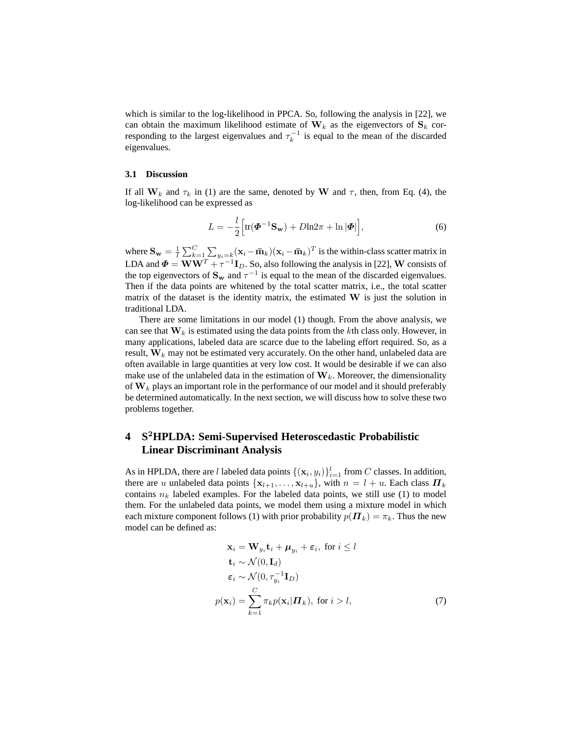which is similar to the log-likelihood in PPCA. So, following the analysis in [22], we can obtain the maximum likelihood estimate of  $W_k$  as the eigenvectors of  $S_k$  corresponding to the largest eigenvalues and  $\tau_k^{-1}$  is equal to the mean of the discarded eigenvalues.

#### **3.1 Discussion**

If all  $W_k$  and  $\tau_k$  in (1) are the same, denoted by W and  $\tau$ , then, from Eq. (4), the log-likelihood can be expressed as

$$
L = -\frac{l}{2} \left[ \text{tr}(\boldsymbol{\Phi}^{-1} \mathbf{S}_{\mathbf{w}}) + D \ln 2\pi + \ln |\boldsymbol{\Phi}| \right],\tag{6}
$$

where  $\mathbf{S_w} = \frac{1}{l} \sum_{k=1}^{C} \sum_{y_i=k} (\mathbf{x}_i - \bar{\mathbf{m}}_k)(\mathbf{x}_i - \bar{\mathbf{m}}_k)^T$  is the within-class scatter matrix in LDA and  $\mathbf{\Phi} = \mathbf{WW}^T + \tau^{-1}\mathbf{I}_D$ . So, also following the analysis in [22],  $\mathbf{W}$  consists of the top eigenvectors of  $S_w$  and  $\tau^{-1}$  is equal to the mean of the discarded eigenvalues. Then if the data points are whitened by the total scatter matrix, i.e., the total scatter matrix of the dataset is the identity matrix, the estimated  $W$  is just the solution in traditional LDA.

There are some limitations in our model (1) though. From the above analysis, we can see that  $W_k$  is estimated using the data points from the kth class only. However, in many applications, labeled data are scarce due to the labeling effort required. So, as a result,  $W_k$  may not be estimated very accurately. On the other hand, unlabeled data are often available in large quantities at very low cost. It would be desirable if we can also make use of the unlabeled data in the estimation of  $W_k$ . Moreover, the dimensionality of  $W_k$  plays an important role in the performance of our model and it should preferably be determined automatically. In the next section, we will discuss how to solve these two problems together.

# **4 S**<sup>2</sup>**HPLDA: Semi-Supervised Heteroscedastic Probabilistic Linear Discriminant Analysis**

As in HPLDA, there are l labeled data points  $\{(\mathbf{x}_i, y_i)\}_{i=1}^l$  from C classes. In addition, there are u unlabeled data points  $\{x_{l+1}, \ldots, x_{l+u}\}$ , with  $n = l + u$ . Each class  $\boldsymbol{\Pi}_k$ contains  $n_k$  labeled examples. For the labeled data points, we still use (1) to model them. For the unlabeled data points, we model them using a mixture model in which each mixture component follows (1) with prior probability  $p(\boldsymbol{\Pi}_k) = \pi_k$ . Thus the new model can be defined as:

$$
\mathbf{x}_{i} = \mathbf{W}_{y_{i}} \mathbf{t}_{i} + \boldsymbol{\mu}_{y_{i}} + \boldsymbol{\varepsilon}_{i}, \text{ for } i \leq l
$$
  
\n
$$
\mathbf{t}_{i} \sim \mathcal{N}(0, \mathbf{I}_{d})
$$
  
\n
$$
\boldsymbol{\varepsilon}_{i} \sim \mathcal{N}(0, \tau_{y_{i}}^{-1} \mathbf{I}_{D})
$$
  
\n
$$
p(\mathbf{x}_{i}) = \sum_{k=1}^{C} \pi_{k} p(\mathbf{x}_{i} | \boldsymbol{\Pi}_{k}), \text{ for } i > l,
$$
 (7)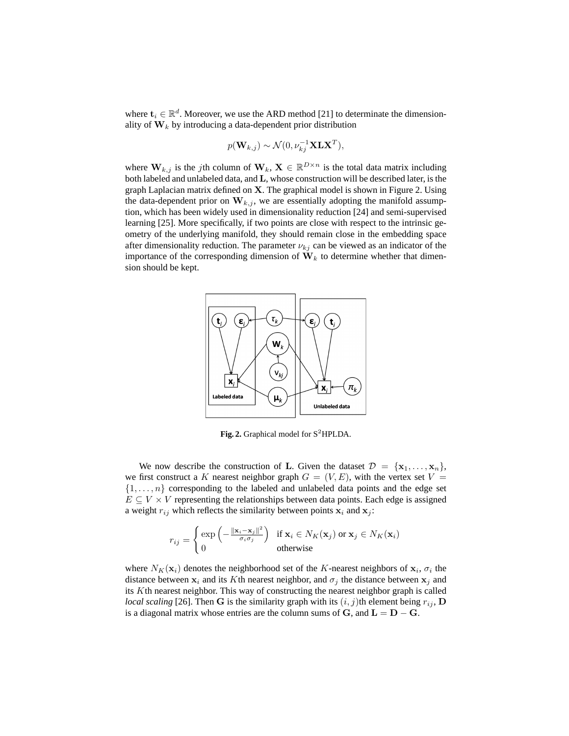where  $\mathbf{t}_i \in \mathbb{R}^d$ . Moreover, we use the ARD method [21] to determinate the dimensionality of  $W_k$  by introducing a data-dependent prior distribution

$$
p(\mathbf{W}_{k,j}) \sim \mathcal{N}(0, \nu_{kj}^{-1} \mathbf{XLX}^T),
$$

where  $\mathbf{W}_{k,j}$  is the jth column of  $\mathbf{W}_k$ ,  $\mathbf{X} \in \mathbb{R}^{D \times n}$  is the total data matrix including both labeled and unlabeled data, and L, whose construction will be described later, is the graph Laplacian matrix defined on X. The graphical model is shown in Figure 2. Using the data-dependent prior on  $\mathbf{W}_{k,j}$ , we are essentially adopting the manifold assumption, which has been widely used in dimensionality reduction [24] and semi-supervised learning [25]. More specifically, if two points are close with respect to the intrinsic geometry of the underlying manifold, they should remain close in the embedding space after dimensionality reduction. The parameter  $\nu_{ki}$  can be viewed as an indicator of the importance of the corresponding dimension of  $W_k$  to determine whether that dimension should be kept.



Fig. 2. Graphical model for S<sup>2</sup>HPLDA.

We now describe the construction of L. Given the dataset  $\mathcal{D} = {\mathbf{x}_1, \dots, \mathbf{x}_n}$ , we first construct a K nearest neighbor graph  $G = (V, E)$ , with the vertex set  $V =$  $\{1, \ldots, n\}$  corresponding to the labeled and unlabeled data points and the edge set  $E \subseteq V \times V$  representing the relationships between data points. Each edge is assigned a weight  $r_{ij}$  which reflects the similarity between points  $x_i$  and  $x_j$ :

$$
r_{ij} = \begin{cases} \exp\left(-\frac{\|\mathbf{x}_i - \mathbf{x}_j\|^2}{\sigma_i \sigma_j}\right) & \text{if } \mathbf{x}_i \in N_K(\mathbf{x}_j) \text{ or } \mathbf{x}_j \in N_K(\mathbf{x}_i) \\ 0 & \text{otherwise} \end{cases}
$$

where  $N_K(\mathbf{x}_i)$  denotes the neighborhood set of the K-nearest neighbors of  $\mathbf{x}_i$ ,  $\sigma_i$  the distance between  $x_i$  and its Kth nearest neighbor, and  $\sigma_i$  the distance between  $x_i$  and its Kth nearest neighbor. This way of constructing the nearest neighbor graph is called *local scaling* [26]. Then G is the similarity graph with its  $(i, j)$ th element being  $r_{ij}$ , D is a diagonal matrix whose entries are the column sums of  $G$ , and  $L = D - G$ .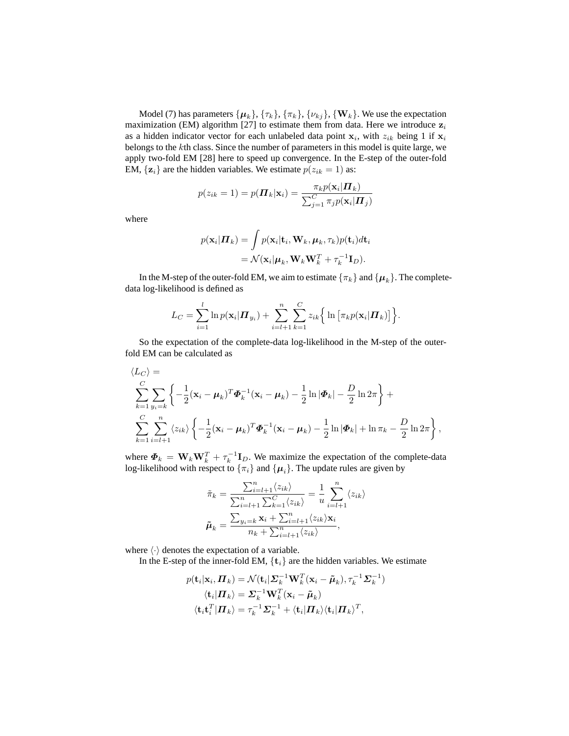Model (7) has parameters  $\{\mu_k\}, \{\tau_k\}, \{\pi_k\}, \{\nu_{kj}\}, \{\mathbf{W}_k\}.$  We use the expectation maximization (EM) algorithm [27] to estimate them from data. Here we introduce  $z_i$ as a hidden indicator vector for each unlabeled data point  $x_i$ , with  $z_{ik}$  being 1 if  $x_i$ belongs to the kth class. Since the number of parameters in this model is quite large, we apply two-fold EM [28] here to speed up convergence. In the E-step of the outer-fold EM,  $\{z_i\}$  are the hidden variables. We estimate  $p(z_{ik} = 1)$  as:

$$
p(z_{ik} = 1) = p(\boldsymbol{\Pi}_k | \mathbf{x}_i) = \frac{\pi_k p(\mathbf{x}_i | \boldsymbol{\Pi}_k)}{\sum_{j=1}^C \pi_j p(\mathbf{x}_i | \boldsymbol{\Pi}_j)}
$$

where

$$
p(\mathbf{x}_i|\boldsymbol{\Pi}_k) = \int p(\mathbf{x}_i|\mathbf{t}_i, \mathbf{W}_k, \boldsymbol{\mu}_k, \tau_k) p(\mathbf{t}_i) d\mathbf{t}_i
$$
  
=  $\mathcal{N}(\mathbf{x}_i|\boldsymbol{\mu}_k, \mathbf{W}_k \mathbf{W}_k^T + \tau_k^{-1} \mathbf{I}_D).$ 

In the M-step of the outer-fold EM, we aim to estimate  $\{\pi_k\}$  and  $\{\mu_k\}$ . The completedata log-likelihood is defined as

$$
L_C = \sum_{i=1}^l \ln p(\mathbf{x}_i | \boldsymbol{\Pi}_{y_i}) + \sum_{i=l+1}^n \sum_{k=1}^C z_{ik} \Big\{ \ln \big[ \pi_k p(\mathbf{x}_i | \boldsymbol{\Pi}_k) \big] \Big\}.
$$

So the expectation of the complete-data log-likelihood in the M-step of the outerfold EM can be calculated as

$$
\langle L_C \rangle =
$$
\n
$$
\sum_{k=1}^C \sum_{y_i=k} \left\{ -\frac{1}{2} (\mathbf{x}_i - \boldsymbol{\mu}_k)^T \boldsymbol{\Phi}_k^{-1} (\mathbf{x}_i - \boldsymbol{\mu}_k) - \frac{1}{2} \ln |\boldsymbol{\Phi}_k| - \frac{D}{2} \ln 2\pi \right\} +
$$
\n
$$
\sum_{k=1}^C \sum_{i=l+1}^n \langle z_{ik} \rangle \left\{ -\frac{1}{2} (\mathbf{x}_i - \boldsymbol{\mu}_k)^T \boldsymbol{\Phi}_k^{-1} (\mathbf{x}_i - \boldsymbol{\mu}_k) - \frac{1}{2} \ln |\boldsymbol{\Phi}_k| + \ln \pi_k - \frac{D}{2} \ln 2\pi \right\},
$$

where  $\boldsymbol{\Phi}_k = \mathbf{W}_k \mathbf{W}_k^T + \tau_k^{-1} \mathbf{I}_D$ . We maximize the expectation of the complete-data log-likelihood with respect to  $\{\pi_i\}$  and  $\{\boldsymbol{\mu}_i\}.$  The update rules are given by

$$
\tilde{\pi}_k = \frac{\sum_{i=l+1}^n \langle z_{ik} \rangle}{\sum_{i=l+1}^n \sum_{k=1}^C \langle z_{ik} \rangle} = \frac{1}{u} \sum_{i=l+1}^n \langle z_{ik} \rangle
$$

$$
\tilde{\mu}_k = \frac{\sum_{y_i=k} \mathbf{x}_i + \sum_{i=l+1}^n \langle z_{ik} \rangle \mathbf{x}_i}{n_k + \sum_{i=l+1}^n \langle z_{ik} \rangle},
$$

where  $\langle \cdot \rangle$  denotes the expectation of a variable.

In the E-step of the inner-fold EM,  $\{t_i\}$  are the hidden variables. We estimate

$$
p(\mathbf{t}_i|\mathbf{x}_i, \boldsymbol{\Pi}_k) = \mathcal{N}(\mathbf{t}_i|\boldsymbol{\Sigma}_k^{-1}\mathbf{W}_k^T(\mathbf{x}_i - \tilde{\boldsymbol{\mu}}_k), \tau_k^{-1}\boldsymbol{\Sigma}_k^{-1})
$$

$$
\langle \mathbf{t}_i|\boldsymbol{\Pi}_k \rangle = \boldsymbol{\Sigma}_k^{-1}\mathbf{W}_k^T(\mathbf{x}_i - \tilde{\boldsymbol{\mu}}_k)
$$

$$
\langle \mathbf{t}_i\mathbf{t}_i^T|\boldsymbol{\Pi}_k \rangle = \tau_k^{-1}\boldsymbol{\Sigma}_k^{-1} + \langle \mathbf{t}_i|\boldsymbol{\Pi}_k \rangle \langle \mathbf{t}_i|\boldsymbol{\Pi}_k \rangle^T,
$$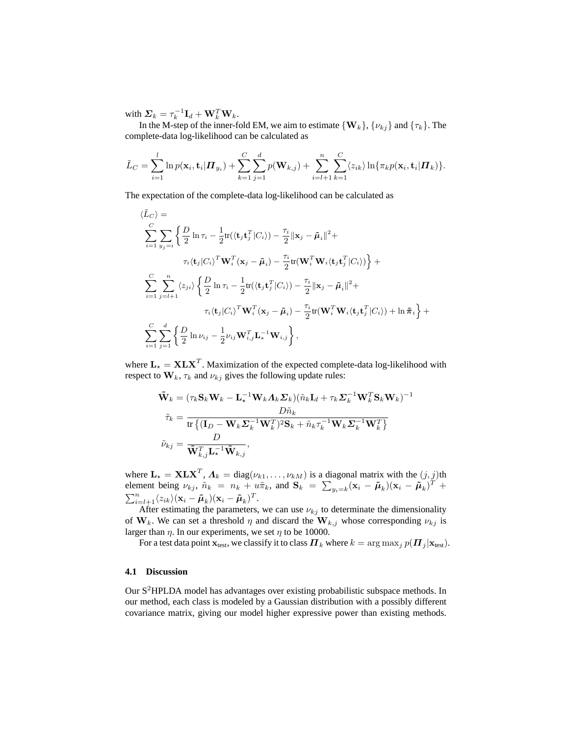with  $\mathbf{\Sigma}_k = \tau_k^{-1} \mathbf{I}_d + \mathbf{W}_k^T \mathbf{W}_k$ .

In the M-step of the inner-fold EM, we aim to estimate  ${W_k}$ ,  ${\nu_{kj}}$  and  ${\tau_k}$ . The complete-data log-likelihood can be calculated as

$$
\tilde{L}_C = \sum_{i=1}^l \ln p(\mathbf{x}_i, \mathbf{t}_i | \mathbf{\Pi}_{y_i}) + \sum_{k=1}^C \sum_{j=1}^d p(\mathbf{W}_{k,j}) + \sum_{i=l+1}^n \sum_{k=1}^C \langle z_{ik} \rangle \ln \{ \pi_k p(\mathbf{x}_i, \mathbf{t}_i | \mathbf{\Pi}_k) \}.
$$

The expectation of the complete-data log-likelihood can be calculated as

$$
\langle \tilde{L}_{C} \rangle =
$$
\n
$$
\sum_{i=1}^{C} \sum_{y_{j}=i} \left\{ \frac{D}{2} \ln \tau_{i} - \frac{1}{2} \text{tr}(\langle \mathbf{t}_{j} \mathbf{t}_{j}^{T} | C_{i} \rangle) - \frac{\tau_{i}}{2} || \mathbf{x}_{j} - \tilde{\boldsymbol{\mu}}_{i} ||^{2} +
$$
\n
$$
\tau_{i} \langle \mathbf{t}_{j} | C_{i} \rangle^{T} \mathbf{W}_{i}^{T} (\mathbf{x}_{j} - \tilde{\boldsymbol{\mu}}_{i}) - \frac{\tau_{i}}{2} \text{tr}(\mathbf{W}_{i}^{T} \mathbf{W}_{i} \langle \mathbf{t}_{j} \mathbf{t}_{j}^{T} | C_{i} \rangle) \right\} +
$$
\n
$$
\sum_{i=1}^{C} \sum_{j=l+1}^{n} \langle z_{ji} \rangle \left\{ \frac{D}{2} \ln \tau_{i} - \frac{1}{2} \text{tr}(\langle \mathbf{t}_{j} \mathbf{t}_{j}^{T} | C_{i} \rangle) - \frac{\tau_{i}}{2} || \mathbf{x}_{j} - \tilde{\boldsymbol{\mu}}_{i} ||^{2} +
$$
\n
$$
\tau_{i} \langle \mathbf{t}_{j} | C_{i} \rangle^{T} \mathbf{W}_{i}^{T} (\mathbf{x}_{j} - \tilde{\boldsymbol{\mu}}_{i}) - \frac{\tau_{i}}{2} \text{tr}(\mathbf{W}_{i}^{T} \mathbf{W}_{i} \langle \mathbf{t}_{j} \mathbf{t}_{j}^{T} | C_{i} \rangle) + \ln \tilde{\boldsymbol{\pi}}_{i} \right\} +
$$
\n
$$
\sum_{i=1}^{C} \sum_{j=1}^{d} \left\{ \frac{D}{2} \ln \nu_{ij} - \frac{1}{2} \nu_{ij} \mathbf{W}_{i,j}^{T} \mathbf{L}_{\star}^{-1} \mathbf{W}_{i,j} \right\},
$$

where  $\mathbf{L}_{\star} = \mathbf{X L X}^T$ . Maximization of the expected complete-data log-likelihood with respect to  $W_k$ ,  $\tau_k$  and  $\nu_{kj}$  gives the following update rules:

$$
\begin{aligned} &\tilde{\mathbf{W}}_k = (\tau_k \mathbf{S}_k \mathbf{W}_k - \mathbf{L}_\star^{-1} \mathbf{W}_k \boldsymbol{\Lambda}_k \boldsymbol{\Sigma}_k) (\tilde{n}_k \mathbf{I}_d + \tau_k \boldsymbol{\Sigma}_k^{-1} \mathbf{W}_k^T \mathbf{S}_k \mathbf{W}_k)^{-1} \\ &\tilde{\tau}_k = \frac{D \tilde{n}_k}{\text{tr} \left\{ (\mathbf{I}_D - \mathbf{W}_k \boldsymbol{\Sigma}_k^{-1} \mathbf{W}_k^T)^2 \mathbf{S}_k + \tilde{n}_k \tau_k^{-1} \mathbf{W}_k \boldsymbol{\Sigma}_k^{-1} \mathbf{W}_k^T \right\}} \\ &\tilde{\nu}_{kj} = \frac{D}{\tilde{\mathbf{W}}_{k,j}^T \mathbf{L}_\star^{-1} \tilde{\mathbf{W}}_{k,j}}, \end{aligned}
$$

where  $\mathbf{L}_{\star} = \mathbf{XLX}^T$ ,  $\mathbf{\Lambda}_k = \text{diag}(\nu_{k1}, \dots, \nu_{kM})$  is a diagonal matrix with the  $(j, j)$ th element being  $\nu_{kj}$ ,  $\tilde{n}_k = n_k + u\tilde{\pi}_k$ , and  $\mathbf{S}_k = \sum_{y_i=k} (\mathbf{x}_i - \tilde{\boldsymbol{\mu}}_k)(\mathbf{x}_i - \tilde{\boldsymbol{\mu}}_k)^T$  +  $\sum_{i=l+1}^{n} \langle z_{ik} \rangle (\mathbf{x}_i - \tilde{\boldsymbol{\mu}}_k)(\mathbf{x}_i - \tilde{\boldsymbol{\mu}}_k)^T.$ 

After estimating the parameters, we can use  $\nu_{kj}$  to determinate the dimensionality of  $W_k$ . We can set a threshold  $\eta$  and discard the  $W_{k,j}$  whose corresponding  $\nu_{kj}$  is larger than  $\eta$ . In our experiments, we set  $\eta$  to be 10000.

For a test data point  $\mathbf{x}_{\text{test}}$ , we classify it to class  $\boldsymbol{\Pi}_k$  where  $k = \arg \max_j p(\boldsymbol{\Pi}_j | \mathbf{x}_{\text{test}})$ .

#### **4.1 Discussion**

Our S<sup>2</sup>HPLDA model has advantages over existing probabilistic subspace methods. In our method, each class is modeled by a Gaussian distribution with a possibly different covariance matrix, giving our model higher expressive power than existing methods.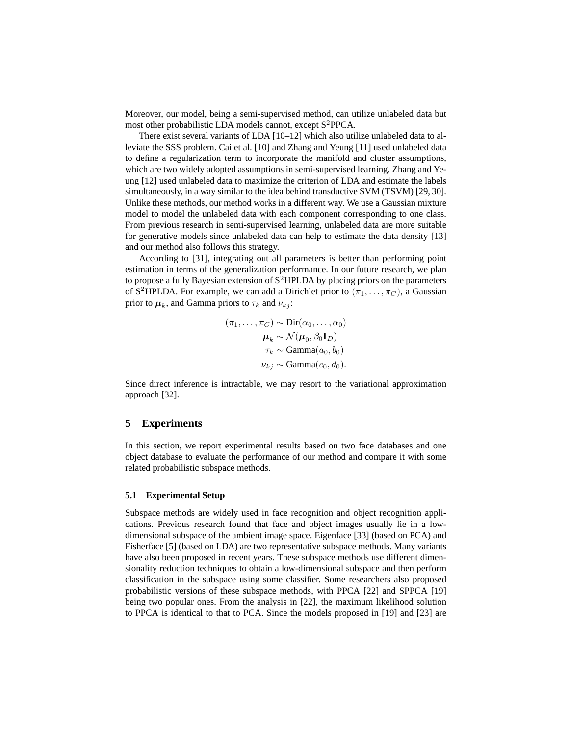Moreover, our model, being a semi-supervised method, can utilize unlabeled data but most other probabilistic LDA models cannot, except S<sup>2</sup>PPCA.

There exist several variants of LDA [10–12] which also utilize unlabeled data to alleviate the SSS problem. Cai et al. [10] and Zhang and Yeung [11] used unlabeled data to define a regularization term to incorporate the manifold and cluster assumptions, which are two widely adopted assumptions in semi-supervised learning. Zhang and Yeung [12] used unlabeled data to maximize the criterion of LDA and estimate the labels simultaneously, in a way similar to the idea behind transductive SVM (TSVM) [29, 30]. Unlike these methods, our method works in a different way. We use a Gaussian mixture model to model the unlabeled data with each component corresponding to one class. From previous research in semi-supervised learning, unlabeled data are more suitable for generative models since unlabeled data can help to estimate the data density [13] and our method also follows this strategy.

According to [31], integrating out all parameters is better than performing point estimation in terms of the generalization performance. In our future research, we plan to propose a fully Bayesian extension of  $S^2$ HPLDA by placing priors on the parameters of S<sup>2</sup>HPLDA. For example, we can add a Dirichlet prior to  $(\pi_1, \ldots, \pi_C)$ , a Gaussian prior to  $\boldsymbol{\mu}_k$ , and Gamma priors to  $\tau_k$  and  $\nu_{kj}$ :

$$
(\pi_1, ..., \pi_C) \sim \text{Dir}(\alpha_0, ..., \alpha_0)
$$

$$
\boldsymbol{\mu}_k \sim \mathcal{N}(\boldsymbol{\mu}_0, \beta_0 \mathbf{I}_D)
$$

$$
\tau_k \sim \text{Gamma}(a_0, b_0)
$$

$$
\nu_{kj} \sim \text{Gamma}(c_0, d_0).
$$

Since direct inference is intractable, we may resort to the variational approximation approach [32].

## **5 Experiments**

In this section, we report experimental results based on two face databases and one object database to evaluate the performance of our method and compare it with some related probabilistic subspace methods.

#### **5.1 Experimental Setup**

Subspace methods are widely used in face recognition and object recognition applications. Previous research found that face and object images usually lie in a lowdimensional subspace of the ambient image space. Eigenface [33] (based on PCA) and Fisherface [5] (based on LDA) are two representative subspace methods. Many variants have also been proposed in recent years. These subspace methods use different dimensionality reduction techniques to obtain a low-dimensional subspace and then perform classification in the subspace using some classifier. Some researchers also proposed probabilistic versions of these subspace methods, with PPCA [22] and SPPCA [19] being two popular ones. From the analysis in [22], the maximum likelihood solution to PPCA is identical to that to PCA. Since the models proposed in [19] and [23] are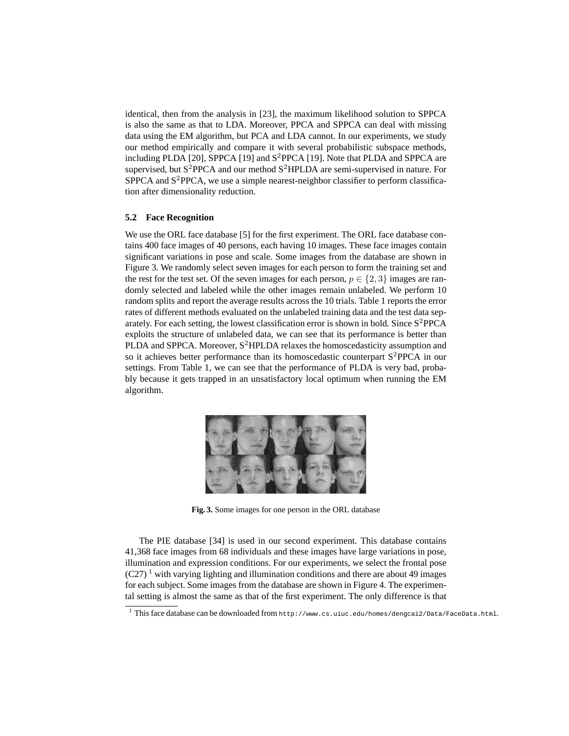identical, then from the analysis in [23], the maximum likelihood solution to SPPCA is also the same as that to LDA. Moreover, PPCA and SPPCA can deal with missing data using the EM algorithm, but PCA and LDA cannot. In our experiments, we study our method empirically and compare it with several probabilistic subspace methods, including PLDA [20], SPPCA [19] and  $S^2$ PPCA [19]. Note that PLDA and SPPCA are supervised, but  $S^2$ PPCA and our method  $S^2$ HPLDA are semi-supervised in nature. For SPPCA and  $S^2$ PPCA, we use a simple nearest-neighbor classifier to perform classification after dimensionality reduction.

#### **5.2 Face Recognition**

We use the ORL face database [5] for the first experiment. The ORL face database contains 400 face images of 40 persons, each having 10 images. These face images contain significant variations in pose and scale. Some images from the database are shown in Figure 3. We randomly select seven images for each person to form the training set and the rest for the test set. Of the seven images for each person,  $p \in \{2, 3\}$  images are randomly selected and labeled while the other images remain unlabeled. We perform 10 random splits and report the average results across the 10 trials. Table 1 reports the error rates of different methods evaluated on the unlabeled training data and the test data separately. For each setting, the lowest classification error is shown in bold. Since  $S^2$ PPCA exploits the structure of unlabeled data, we can see that its performance is better than PLDA and SPPCA. Moreover,  $S^2$ HPLDA relaxes the homoscedasticity assumption and so it achieves better performance than its homoscedastic counterpart S<sup>2</sup>PPCA in our settings. From Table 1, we can see that the performance of PLDA is very bad, probably because it gets trapped in an unsatisfactory local optimum when running the EM algorithm.



**Fig. 3.** Some images for one person in the ORL database

The PIE database [34] is used in our second experiment. This database contains 41,368 face images from 68 individuals and these images have large variations in pose, illumination and expression conditions. For our experiments, we select the frontal pose  $(C27)$ <sup>1</sup> with varying lighting and illumination conditions and there are about 49 images for each subject. Some images from the database are shown in Figure 4. The experimental setting is almost the same as that of the first experiment. The only difference is that

<sup>1</sup> This face database can be downloaded from http://www.cs.uiuc.edu/homes/dengcai2/Data/FaceData.html.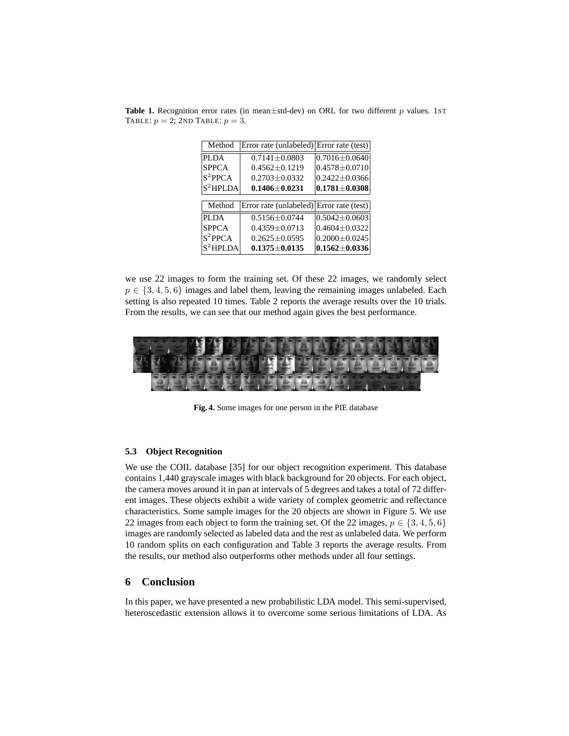**Table 1.** Recognition error rates (in mean $\pm$ std-dev) on ORL for two different p values. 1ST TABLE:  $p = 2$ ; 2ND TABLE:  $p = 3$ .

| Method       | Error rate (unlabeled) Error rate (test) |                     |
|--------------|------------------------------------------|---------------------|
| PLDA         | $0.7141 + 0.0803$                        | $0.7016 \pm 0.0640$ |
| <b>SPPCA</b> | $0.4562 \pm 0.1219$                      | $0.4578 \pm 0.0710$ |
| $S^2$ PPCA   | $0.2703 \pm 0.0332$                      | $0.2422 \pm 0.0366$ |
| $S^2$ HPLDA  | $0.1406 \pm 0.0231$                      | $ 0.1781\pm0.0308 $ |
|              |                                          |                     |
| Method       | Error rate (unlabeled) Error rate (test) |                     |
| PLDA         | $0.5156 \pm 0.0744$                      | $0.5042 \pm 0.0603$ |
| <b>SPPCA</b> | $0.4359 \pm 0.0713$                      | $0.4604 \pm 0.0322$ |
| $S^2$ PPCA   | $0.2625 \pm 0.0595$                      | $0.2000 \pm 0.0245$ |
| $S^2$ HPLDA  | $0.1375 \pm 0.0135$                      | $0.1562 \pm 0.0336$ |

we use 22 images to form the training set. Of these 22 images, we randomly select  $p \in \{3, 4, 5, 6\}$  images and label them, leaving the remaining images unlabeled. Each setting is also repeated 10 times. Table 2 reports the average results over the 10 trials. From the results, we can see that our method again gives the best performance.



**Fig. 4.** Some images for one person in the PIE database

#### **5.3 Object Recognition**

We use the COIL database [35] for our object recognition experiment. This database contains 1,440 grayscale images with black background for 20 objects. For each object, the camera moves around it in pan at intervals of 5 degrees and takes a total of 72 different images. These objects exhibit a wide variety of complex geometric and reflectance characteristics. Some sample images for the 20 objects are shown in Figure 5. We use 22 images from each object to form the training set. Of the 22 images,  $p \in \{3, 4, 5, 6\}$ images are randomly selected as labeled data and the rest as unlabeled data. We perform 10 random splits on each configuration and Table 3 reports the average results. From the results, our method also outperforms other methods under all four settings.

# **6 Conclusion**

In this paper, we have presented a new probabilistic LDA model. This semi-supervised, heteroscedastic extension allows it to overcome some serious limitations of LDA. As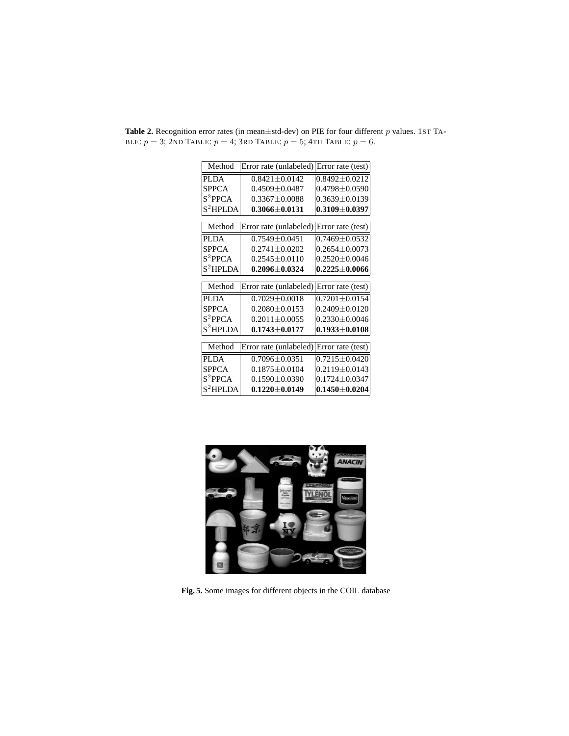| Method               | Error rate (unlabeled)  | Error rate (test)   |
|----------------------|-------------------------|---------------------|
| PLDA                 | $0.8421 \pm 0.0142$     | $0.8492 \pm 0.0212$ |
| <b>SPPCA</b>         | $0.4509 \pm 0.0487$     | $0.4798 \pm 0.0590$ |
| $S^2$ PPCA           | $0.3367 \pm 0.0088$     | $0.3639 \pm 0.0139$ |
| $S^2$ HPLDA          | $0.3066 \!\pm\! 0.0131$ | $0.3109 \pm 0.0397$ |
|                      |                         |                     |
| Method               | Error rate (unlabeled)  | Error rate (test)   |
| PLDA                 | $0.7549 \pm 0.0451$     | $0.7469 \pm 0.0532$ |
| <b>SPPCA</b>         | $0.2741 \pm 0.0202$     | $0.2654 \pm 0.0073$ |
| $S^2$ PPCA           | $0.2545 \pm 0.0110$     | $0.2520 \pm 0.0046$ |
| $\mathrm{S}^2$ HPLDA | $0.2096 \!\pm\! 0.0324$ | $0.2225 \pm 0.0066$ |
|                      |                         |                     |
| Method               | Error rate (unlabeled)  | Error rate (test)   |
| PLDA                 | $0.7029 \pm 0.0018$     | $0.7201 \pm 0.0154$ |
| <b>SPPCA</b>         | $0.2080 \pm 0.0153$     | $0.2409 \pm 0.0120$ |
| $S^2$ PPCA           | $0.2011 \pm 0.0055$     | $0.2330 \pm 0.0046$ |
| $S^2$ HPLDA          | $0.1743 \pm 0.0177$     | $0.1933 \pm 0.0108$ |
|                      |                         |                     |
| Method               |                         |                     |
|                      | Error rate (unlabeled)  | Error rate (test)   |
| <b>PLDA</b>          | $0.7096 \pm 0.0351$     | $0.7215 \pm 0.0420$ |
| <b>SPPCA</b>         | $0.1875 \pm 0.0104$     | $0.2119 \pm 0.0143$ |
| $S^2$ PPCA           | $0.1590 \pm 0.0390$     | $0.1724 \pm 0.0347$ |

**Table 2.** Recognition error rates (in mean $\pm$ std-dev) on PIE for four different p values. 1ST TAble:  $p = 3$ ; 2nd Table:  $p = 4$ ; 3rd Table:  $p = 5$ ; 4th Table:  $p = 6$ .



**Fig. 5.** Some images for different objects in the COIL database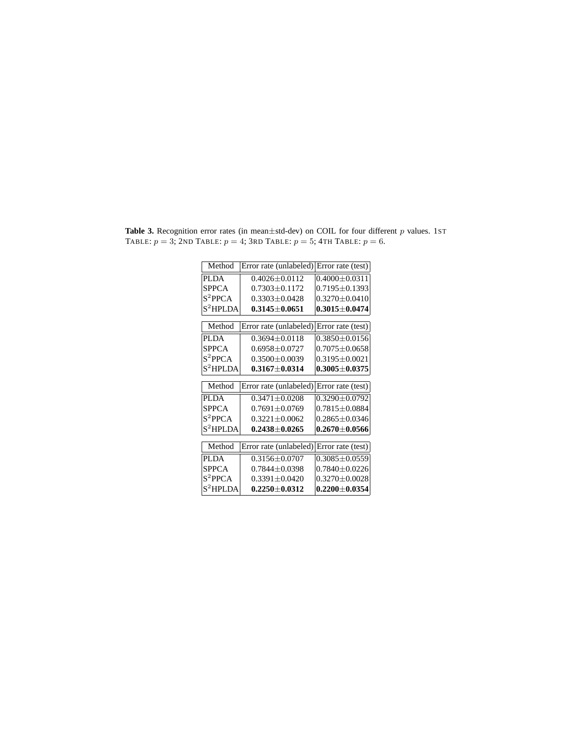**Table 3.** Recognition error rates (in mean $\pm$ std-dev) on COIL for four different p values. 1ST TABLE:  $p = 3$ ; 2nd Table:  $p = 4$ ; 3rd Table:  $p = 5$ ; 4th Table:  $p = 6$ .

| Method               | Error rate (unlabeled)  | Error rate (test)     |
|----------------------|-------------------------|-----------------------|
| PLDA                 | $0.4026 \pm 0.0112$     | $0.4000 \pm 0.0311$   |
| SPPCA                | $0.7303 \pm 0.1172$     | $0.7195 \pm 0.1393$   |
| $S^2$ PPCA           | $0.3303 \pm 0.0428$     | $0.3270 \pm 0.0410$   |
| $S^2$ HPLDA          | $0.3145 \!\pm\! 0.0651$ | $0.3015 \pm 0.0474$   |
|                      |                         |                       |
| Method               | Error rate (unlabeled)  | Error rate (test)     |
| PLDA                 | $0.3694 \pm 0.0118$     | $0.3850 \pm 0.0156$   |
| <b>SPPCA</b>         | $0.6958 \pm 0.0727$     | $0.7075 \pm 0.0658$   |
| $S^2$ PPCA           | $0.3500 \pm 0.0039$     | $0.3195 \pm 0.0021$   |
| $S^2$ HPLDA          | $0.3167 \pm 0.0314$     | $0.3005 \pm 0.0375$   |
|                      |                         |                       |
| Method               | Error rate (unlabeled)  | Error rate (test)     |
| PLDA                 | $0.3471 \pm 0.0208$     | $0.3290 \pm 0.0792$   |
| <b>SPPCA</b>         | $0.7691 \pm 0.0769$     | $0.7815 \pm 0.0884$   |
| $S^2$ PPCA           | $0.3221 \pm 0.0062$     | $0.2865 \pm 0.0346$   |
| $S^2$ HPLDA          | $0.2438 \pm 0.0265$     | $0.2670\!\pm\!0.0566$ |
|                      |                         |                       |
| Method               | Error rate (unlabeled)  | Error rate (test)     |
| PLDA                 | $0.3156 \pm 0.0707$     | $0.3085 \pm 0.0559$   |
| <b>SPPCA</b>         | $0.7844 \pm 0.0398$     | $0.7840 \pm 0.0226$   |
| $S^2$ PPCA           | $0.3391 \pm 0.0420$     | $0.3270 \pm 0.0028$   |
| $\mathrm{S}^2$ HPLDA | $0.2250 \pm 0.0312$     | $0.2200\pm0.0354$     |
|                      |                         |                       |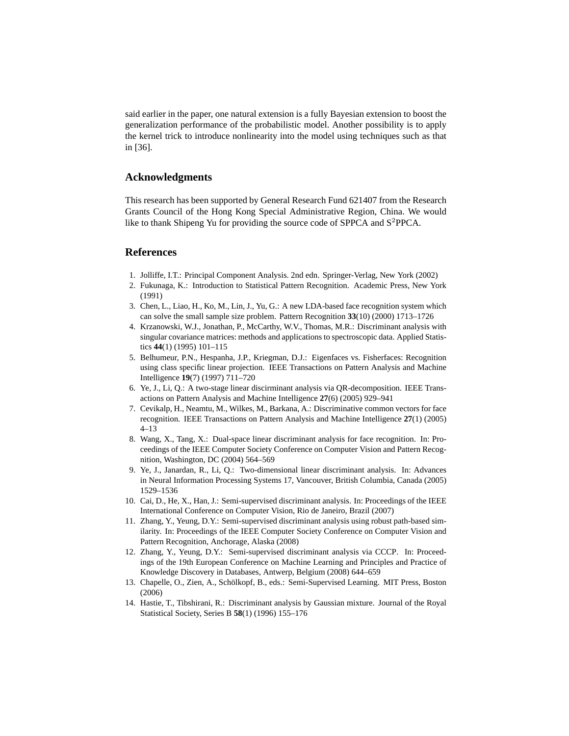said earlier in the paper, one natural extension is a fully Bayesian extension to boost the generalization performance of the probabilistic model. Another possibility is to apply the kernel trick to introduce nonlinearity into the model using techniques such as that in [36].

## **Acknowledgments**

This research has been supported by General Research Fund 621407 from the Research Grants Council of the Hong Kong Special Administrative Region, China. We would like to thank Shipeng Yu for providing the source code of SPPCA and  $S^2$ PPCA.

## **References**

- 1. Jolliffe, I.T.: Principal Component Analysis. 2nd edn. Springer-Verlag, New York (2002)
- 2. Fukunaga, K.: Introduction to Statistical Pattern Recognition. Academic Press, New York (1991)
- 3. Chen, L., Liao, H., Ko, M., Lin, J., Yu, G.: A new LDA-based face recognition system which can solve the small sample size problem. Pattern Recognition **33**(10) (2000) 1713–1726
- 4. Krzanowski, W.J., Jonathan, P., McCarthy, W.V., Thomas, M.R.: Discriminant analysis with singular covariance matrices: methods and applications to spectroscopic data. Applied Statistics **44**(1) (1995) 101–115
- 5. Belhumeur, P.N., Hespanha, J.P., Kriegman, D.J.: Eigenfaces vs. Fisherfaces: Recognition using class specific linear projection. IEEE Transactions on Pattern Analysis and Machine Intelligence **19**(7) (1997) 711–720
- 6. Ye, J., Li, Q.: A two-stage linear discirminant analysis via QR-decomposition. IEEE Transactions on Pattern Analysis and Machine Intelligence **27**(6) (2005) 929–941
- 7. Cevikalp, H., Neamtu, M., Wilkes, M., Barkana, A.: Discriminative common vectors for face recognition. IEEE Transactions on Pattern Analysis and Machine Intelligence **27**(1) (2005) 4–13
- 8. Wang, X., Tang, X.: Dual-space linear discriminant analysis for face recognition. In: Proceedings of the IEEE Computer Society Conference on Computer Vision and Pattern Recognition, Washington, DC (2004) 564–569
- 9. Ye, J., Janardan, R., Li, Q.: Two-dimensional linear discriminant analysis. In: Advances in Neural Information Processing Systems 17, Vancouver, British Columbia, Canada (2005) 1529–1536
- 10. Cai, D., He, X., Han, J.: Semi-supervised discriminant analysis. In: Proceedings of the IEEE International Conference on Computer Vision, Rio de Janeiro, Brazil (2007)
- 11. Zhang, Y., Yeung, D.Y.: Semi-supervised discriminant analysis using robust path-based similarity. In: Proceedings of the IEEE Computer Society Conference on Computer Vision and Pattern Recognition, Anchorage, Alaska (2008)
- 12. Zhang, Y., Yeung, D.Y.: Semi-supervised discriminant analysis via CCCP. In: Proceedings of the 19th European Conference on Machine Learning and Principles and Practice of Knowledge Discovery in Databases, Antwerp, Belgium (2008) 644–659
- 13. Chapelle, O., Zien, A., Schölkopf, B., eds.: Semi-Supervised Learning. MIT Press, Boston (2006)
- 14. Hastie, T., Tibshirani, R.: Discriminant analysis by Gaussian mixture. Journal of the Royal Statistical Society, Series B **58**(1) (1996) 155–176